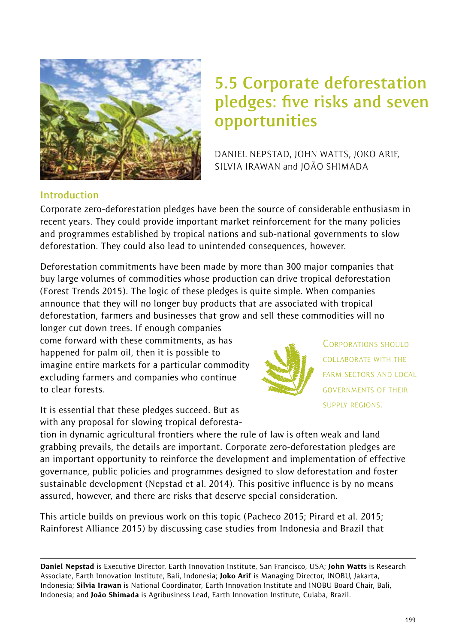

# **5.5 Corporate deforestation pledges: five risks and seven opportunities**

DANIEL NEPSTAD, JOHN WATTS, JOKO ARIF, SILVIA IRAWAN and JOÃO SHIMADA

#### **Introduction**

Corporate zero-deforestation pledges have been the source of considerable enthusiasm in recent years. They could provide important market reinforcement for the many policies and programmes established by tropical nations and sub-national governments to slow deforestation. They could also lead to unintended consequences, however.

Deforestation commitments have been made by more than 300 major companies that buy large volumes of commodities whose production can drive tropical deforestation (Forest Trends 2015). The logic of these pledges is quite simple. When companies announce that they will no longer buy products that are associated with tropical deforestation, farmers and businesses that grow and sell these commodities will no

longer cut down trees. If enough companies come forward with these commitments, as has happened for palm oil, then it is possible to imagine entire markets for a particular commodity excluding farmers and companies who continue to clear forests.

It is essential that these pledges succeed. But as with any proposal for slowing tropical deforesta-



CORPORATIONS SHOULD COLLABORATE WITH THE FARM SECTORS AND LOCAL GOVERNMENTS OF THEIR SUPPLY REGIONS.

tion in dynamic agricultural frontiers where the rule of law is often weak and land grabbing prevails, the details are important. Corporate zero-deforestation pledges are an important opportunity to reinforce the development and implementation of effective governance, public policies and programmes designed to slow deforestation and foster sustainable development (Nepstad et al. 2014). This positive influence is by no means assured, however, and there are risks that deserve special consideration.

This article builds on previous work on this topic (Pacheco 2015; Pirard et al. 2015; Rainforest Alliance 2015) by discussing case studies from Indonesia and Brazil that

Daniel Nepstad is Executive Director, Earth Innovation Institute, San Francisco, USA; John Watts is Research Associate, Earth Innovation Institute, Bali, Indonesia; Joko Arif is Managing Director, INOBU, Jakarta, Indonesia; Silvia Irawan is National Coordinator, Earth Innovation Institute and INOBU Board Chair, Bali, Indonesia; and João Shimada is Agribusiness Lead, Earth Innovation Institute, Cuiaba, Brazil.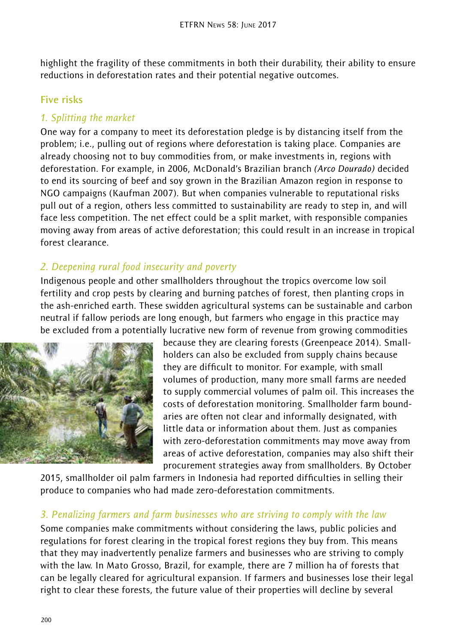highlight the fragility of these commitments in both their durability, their ability to ensure reductions in deforestation rates and their potential negative outcomes.

#### **Five risks**

#### *1. Splitting the market*

One way for a company to meet its deforestation pledge is by distancing itself from the problem; i.e., pulling out of regions where deforestation is taking place. Companies are already choosing not to buy commodities from, or make investments in, regions with deforestation. For example, in 2006, McDonald's Brazilian branch *(Arco Dourado)* decided to end its sourcing of beef and soy grown in the Brazilian Amazon region in response to NGO campaigns (Kaufman 2007). But when companies vulnerable to reputational risks pull out of a region, others less committed to sustainability are ready to step in, and will face less competition. The net effect could be a split market, with responsible companies moving away from areas of active deforestation; this could result in an increase in tropical forest clearance.

# *2. Deepening rural food insecurity and poverty*

Indigenous people and other smallholders throughout the tropics overcome low soil fertility and crop pests by clearing and burning patches of forest, then planting crops in the ash-enriched earth. These swidden agricultural systems can be sustainable and carbon neutral if fallow periods are long enough, but farmers who engage in this practice may be excluded from a potentially lucrative new form of revenue from growing commodities



because they are clearing forests (Greenpeace 2014). Smallholders can also be excluded from supply chains because they are difficult to monitor. For example, with small volumes of production, many more small farms are needed to supply commercial volumes of palm oil. This increases the costs of deforestation monitoring. Smallholder farm boundaries are often not clear and informally designated, with little data or information about them. Just as companies with zero-deforestation commitments may move away from areas of active deforestation, companies may also shift their procurement strategies away from smallholders. By October

2015, smallholder oil palm farmers in Indonesia had reported difficulties in selling their produce to companies who had made zero-deforestation commitments.

# *3. Penalizing farmers and farm businesses who are striving to comply with the law*

Some companies make commitments without considering the laws, public policies and regulations for forest clearing in the tropical forest regions they buy from. This means that they may inadvertently penalize farmers and businesses who are striving to comply with the law. In Mato Grosso, Brazil, for example, there are 7 million ha of forests that can be legally cleared for agricultural expansion. If farmers and businesses lose their legal right to clear these forests, the future value of their properties will decline by several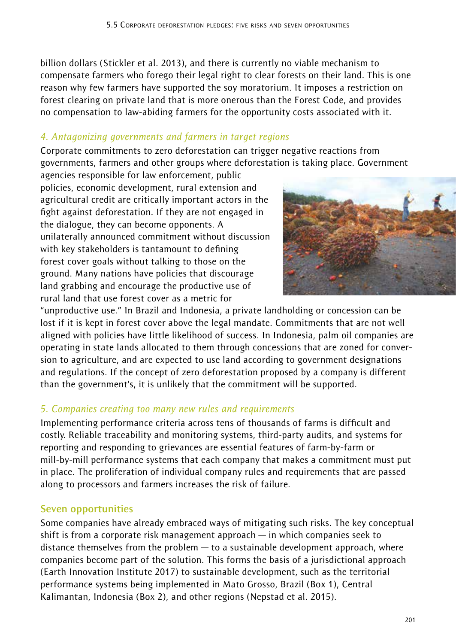billion dollars (Stickler et al. 2013), and there is currently no viable mechanism to compensate farmers who forego their legal right to clear forests on their land. This is one reason why few farmers have supported the soy moratorium. It imposes a restriction on forest clearing on private land that is more onerous than the Forest Code, and provides no compensation to law-abiding farmers for the opportunity costs associated with it.

#### *4. Antagonizing governments and farmers in target regions*

Corporate commitments to zero deforestation can trigger negative reactions from governments, farmers and other groups where deforestation is taking place. Government

agencies responsible for law enforcement, public policies, economic development, rural extension and agricultural credit are critically important actors in the fight against deforestation. If they are not engaged in the dialogue, they can become opponents. A unilaterally announced commitment without discussion with key stakeholders is tantamount to defining forest cover goals without talking to those on the ground. Many nations have policies that discourage land grabbing and encourage the productive use of rural land that use forest cover as a metric for



"unproductive use." In Brazil and Indonesia, a private landholding or concession can be lost if it is kept in forest cover above the legal mandate. Commitments that are not well aligned with policies have little likelihood of success. In Indonesia, palm oil companies are operating in state lands allocated to them through concessions that are zoned for conversion to agriculture, and are expected to use land according to government designations and regulations. If the concept of zero deforestation proposed by a company is different than the government's, it is unlikely that the commitment will be supported.

# *5. Companies creating too many new rules and requirements*

Implementing performance criteria across tens of thousands of farms is difficult and costly. Reliable traceability and monitoring systems, third-party audits, and systems for reporting and responding to grievances are essential features of farm-by-farm or mill-by-mill performance systems that each company that makes a commitment must put in place. The proliferation of individual company rules and requirements that are passed along to processors and farmers increases the risk of failure.

#### **Seven opportunities**

Some companies have already embraced ways of mitigating such risks. The key conceptual shift is from a corporate risk management approach — in which companies seek to distance themselves from the problem — to a sustainable development approach, where companies become part of the solution. This forms the basis of a jurisdictional approach (Earth Innovation Institute 2017) to sustainable development, such as the territorial performance systems being implemented in Mato Grosso, Brazil (Box 1), Central Kalimantan, Indonesia (Box 2), and other regions (Nepstad et al. 2015).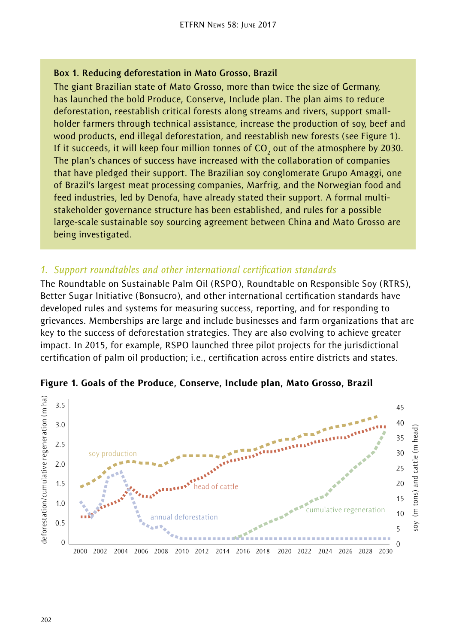#### **Box 1. Reducing deforestation in Mato Grosso, Brazil**

The giant Brazilian state of Mato Grosso, more than twice the size of Germany, has launched the bold Produce, Conserve, Include plan. The plan aims to reduce deforestation, reestablish critical forests along streams and rivers, support smallholder farmers through technical assistance, increase the production of soy, beef and wood products, end illegal deforestation, and reestablish new forests (see Figure 1). If it succeeds, it will keep four million tonnes of CO<sub>2</sub> out of the atmosphere by 2030. The plan's chances of success have increased with the collaboration of companies that have pledged their support. The Brazilian soy conglomerate Grupo Amaggi, one of Brazil's largest meat processing companies, Marfrig, and the Norwegian food and feed industries, led by Denofa, have already stated their support. A formal multistakeholder governance structure has been established, and rules for a possible large-scale sustainable soy sourcing agreement between China and Mato Grosso are being investigated.

#### *1. Support roundtables and other international certification standards*

The Roundtable on Sustainable Palm Oil (RSPO), Roundtable on Responsible Soy (RTRS), Better Sugar Initiative (Bonsucro), and other international certification standards have developed rules and systems for measuring success, reporting, and for responding to grievances. Memberships are large and include businesses and farm organizations that are key to the success of deforestation strategies. They are also evolving to achieve greater impact. In 2015, for example, RSPO launched three pilot projects for the jurisdictional certification of palm oil production; i.e., certification across entire districts and states.



Figure 1. Goals of the Produce, Conserve, Include plan, Mato Grosso, Brazil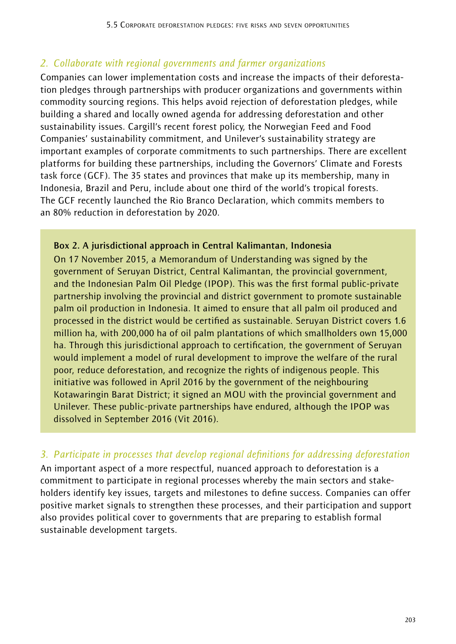# *2. Collaborate with regional governments and farmer organizations*

Companies can lower implementation costs and increase the impacts of their deforestation pledges through partnerships with producer organizations and governments within commodity sourcing regions. This helps avoid rejection of deforestation pledges, while building a shared and locally owned agenda for addressing deforestation and other sustainability issues. Cargill's recent forest policy, the Norwegian Feed and Food Companies' sustainability commitment, and Unilever's sustainability strategy are important examples of corporate commitments to such partnerships. There are excellent platforms for building these partnerships, including the Governors' Climate and Forests task force (GCF). The 35 states and provinces that make up its membership, many in Indonesia, Brazil and Peru, include about one third of the world's tropical forests. The GCF recently launched the Rio Branco Declaration, which commits members to an 80% reduction in deforestation by 2020.

#### **Box 2. A jurisdictional approach in Central Kalimantan, Indonesia**

On 17 November 2015, a Memorandum of Understanding was signed by the government of Seruyan District, Central Kalimantan, the provincial government, and the Indonesian Palm Oil Pledge (IPOP). This was the first formal public-private partnership involving the provincial and district government to promote sustainable palm oil production in Indonesia. It aimed to ensure that all palm oil produced and processed in the district would be certified as sustainable. Seruyan District covers 1.6 million ha, with 200,000 ha of oil palm plantations of which smallholders own 15,000 ha. Through this jurisdictional approach to certification, the government of Seruyan would implement a model of rural development to improve the welfare of the rural poor, reduce deforestation, and recognize the rights of indigenous people. This initiative was followed in April 2016 by the government of the neighbouring Kotawaringin Barat District; it signed an MOU with the provincial government and Unilever. These public-private partnerships have endured, although the IPOP was dissolved in September 2016 (Vit 2016).

#### *3. Participate in processes that develop regional definitions for addressing deforestation*

An important aspect of a more respectful, nuanced approach to deforestation is a commitment to participate in regional processes whereby the main sectors and stakeholders identify key issues, targets and milestones to define success. Companies can offer positive market signals to strengthen these processes, and their participation and support also provides political cover to governments that are preparing to establish formal sustainable development targets.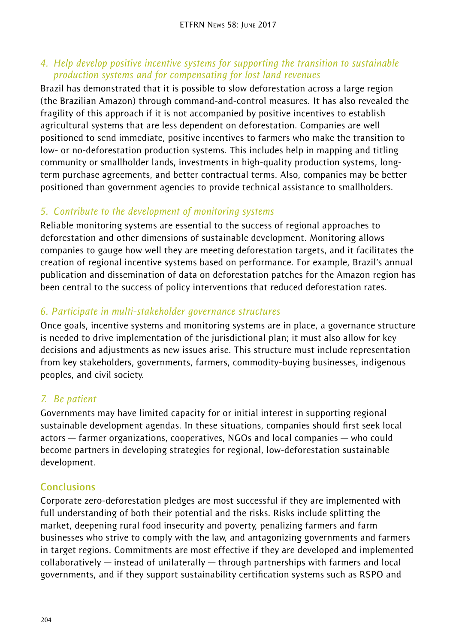#### *4. Help develop positive incentive systems for supporting the transition to sustainable production systems and for compensating for lost land revenues*

Brazil has demonstrated that it is possible to slow deforestation across a large region (the Brazilian Amazon) through command-and-control measures. It has also revealed the fragility of this approach if it is not accompanied by positive incentives to establish agricultural systems that are less dependent on deforestation. Companies are well positioned to send immediate, positive incentives to farmers who make the transition to low- or no-deforestation production systems. This includes help in mapping and titling community or smallholder lands, investments in high-quality production systems, longterm purchase agreements, and better contractual terms. Also, companies may be better positioned than government agencies to provide technical assistance to smallholders.

# *5. Contribute to the development of monitoring systems*

Reliable monitoring systems are essential to the success of regional approaches to deforestation and other dimensions of sustainable development. Monitoring allows companies to gauge how well they are meeting deforestation targets, and it facilitates the creation of regional incentive systems based on performance. For example, Brazil's annual publication and dissemination of data on deforestation patches for the Amazon region has been central to the success of policy interventions that reduced deforestation rates.

# *6. Participate in multi-stakeholder governance structures*

Once goals, incentive systems and monitoring systems are in place, a governance structure is needed to drive implementation of the jurisdictional plan; it must also allow for key decisions and adjustments as new issues arise. This structure must include representation from key stakeholders, governments, farmers, commodity-buying businesses, indigenous peoples, and civil society.

# *7. Be patient*

Governments may have limited capacity for or initial interest in supporting regional sustainable development agendas. In these situations, companies should first seek local actors — farmer organizations, cooperatives, NGOs and local companies — who could become partners in developing strategies for regional, low-deforestation sustainable development.

# **Conclusions**

Corporate zero-deforestation pledges are most successful if they are implemented with full understanding of both their potential and the risks. Risks include splitting the market, deepening rural food insecurity and poverty, penalizing farmers and farm businesses who strive to comply with the law, and antagonizing governments and farmers in target regions. Commitments are most effective if they are developed and implemented collaboratively — instead of unilaterally — through partnerships with farmers and local governments, and if they support sustainability certification systems such as RSPO and